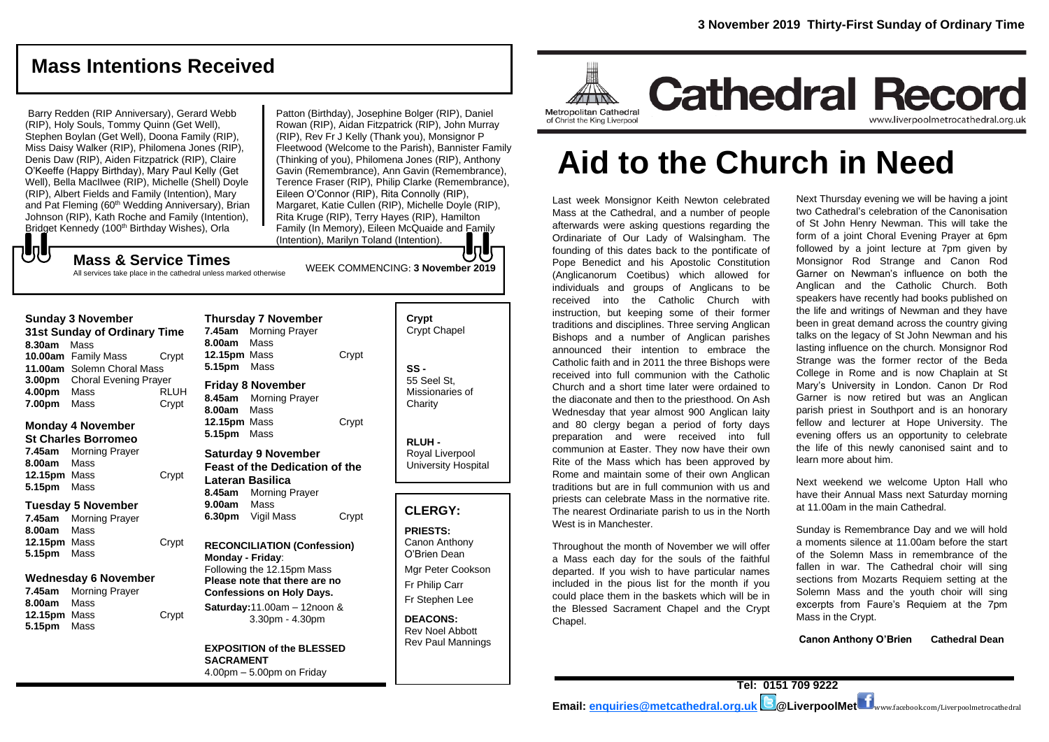## **Mass Intentions Received**

Barry Redden (RIP Anniversary), Gerard Webb (RIP), Holy Souls, Tommy Quinn (Get Well), Stephen Boylan (Get Well), Doona Family (RIP), Miss Daisy Walker (RIP), Philomena Jones (RIP), Denis Daw (RIP), Aiden Fitzpatrick (RIP), Claire O'Keeffe (Happy Birthday), Mary Paul Kelly (Get Well), Bella MacIlwee (RIP), Michelle (Shell) Doyle (RIP), Albert Fields and Family (Intention), Mary and Pat Fleming (60<sup>th</sup> Wedding Anniversary), Brian Johnson (RIP), Kath Roche and Family (Intention), Bridget Kennedy (100<sup>th</sup> Birthday Wishes), Orla

Patton (Birthday), Josephine Bolger (RIP), Daniel Rowan (RIP), Aidan Fitzpatrick (RIP), John Murray (RIP), Rev Fr J Kelly (Thank you), Monsignor P Fleetwood (Welcome to the Parish), Bannister Family (Thinking of you), Philomena Jones (RIP), Anthony Gavin (Remembrance), Ann Gavin (Remembrance), Terence Fraser (RIP), Philip Clarke (Remembrance), Eileen O'Connor (RIP), Rita Connolly (RIP), Margaret, Katie Cullen (RIP), Michelle Doyle (RIP), Rita Kruge (RIP), Terry Hayes (RIP), Hamilton Family (In Memory), Eileen McQuaide and Family (Intention), Marilyn Toland (Intention).

WEEK COMMENCING: **3 November 2019**

**Mass & Service Times** All services take place in the cathedral unless marked otherwise

| Sunday 3 November            |                                     |             |  |
|------------------------------|-------------------------------------|-------------|--|
| 31st Sunday of Ordinary Time |                                     |             |  |
| 8.30am Mass                  |                                     |             |  |
|                              | 10.00am Family Mass                 | Crypt       |  |
|                              | 11.00am Solemn Choral Mass          |             |  |
|                              | <b>3.00pm</b> Choral Evening Prayer |             |  |
| 4.00pm                       | Mass                                | <b>RLUH</b> |  |
| 7.00pm                       | Mass                                | Crypt       |  |

**Monday 4 November St Charles Borromeo 7.45am** Morning Prayer

**Sunday 3 November** 

もし

**8.00am** Mass **12.15pm** Mass Crypt **5.15pm** Mass

#### **Tuesday 5 November**

**7.45am** Morning Prayer **8.00am** Mass 12.15pm Mass Crypt **5.15pm** Mass

#### **Wednesday 6 November**

**7.45am** Morning Prayer **8.00am** Mass **12.15pm** Mass Crypt **5.15pm** Mass

| <b>Thursday 7 November</b><br>7.45am Morning Prayer<br>8.00am Mass<br>12.15pm Mass<br><b>5.15pm</b> Mass                                                                                                          | Crypt |  |
|-------------------------------------------------------------------------------------------------------------------------------------------------------------------------------------------------------------------|-------|--|
| Friday 8 November<br>8.45am Morning Prayer<br>8.00am Mass<br>12.15pm Mass<br>5.15pm Mass                                                                                                                          | Crypt |  |
| <b>Saturday 9 November</b><br><b>Feast of the Dedication of the</b><br>Lateran Basilica<br>8.45am Morning Prayer<br><b>9.00am</b> Mass<br>6.30pm Vigil Mass                                                       | Crypt |  |
| <b>RECONCILIATION (Confession)</b><br>Monday - Friday:<br>Following the 12.15pm Mass<br>Please note that there are no<br><b>Confessions on Holy Days.</b><br>Saturday:11.00am - 12noon &<br>3.30pm - 4.30pm<br>ä, |       |  |
|                                                                                                                                                                                                                   | .     |  |

**EXPOSITION of the BLESSED SACRAMENT** 4.00pm – 5.00pm on Friday

| Crypt<br><b>Crypt Chapel</b>                      |
|---------------------------------------------------|
| SS -<br>55 Seel St.<br>Missionaries of<br>Charity |
| RLUH -<br>Royal Liverpool<br>University Hospital  |
|                                                   |
| <b>CLERGY:</b>                                    |
| <b>PRIESTS:</b><br>Canon Anthony<br>O'Brien Dean  |

Mgr Peter Cookson Fr Philip Carr Fr Stephen Lee

**DEACONS:** Rev Noel Abbott Rev Paul Mannings



# **Aid to the Church in Need**

Last week Monsignor Keith Newton celebrated Mass at the Cathedral, and a number of people afterwards were asking questions regarding the Ordinariate of Our Lady of Walsingham. The founding of this dates back to the pontificate of Pope Benedict and his Apostolic Constitution (*Anglicanorum Coetibus*) which allowed for individuals and groups of Anglicans to be received into the Catholic Church with instruction, but keeping some of their former traditions and disciplines. Three serving Anglican Bishops and a number of Anglican parishes announced their intention to embrace the Catholic faith and in 2011 the three Bishops were received into full communion with the Catholic Church and a short time later were ordained to the diaconate and then to the priesthood. On Ash Wednesday that year almost 900 Anglican laity and 80 clergy began a period of forty days preparation and were received into full communion at Easter. They now have their own Rite of the Mass which has been approved by Rome and maintain some of their own Anglican traditions but are in full communion with us and priests can celebrate Mass in the normative rite. The nearest Ordinariate parish to us in the North West is in Manchester.

Throughout the month of November we will offer a Mass each day for the souls of the faithful departed. If you wish to have particular names included in the pious list for the month if you could place them in the baskets which will be in the Blessed Sacrament Chapel and the Crypt Chapel.

Next Thursday evening we will be having a joint two Cathedral's celebration of the Canonisation of St John Henry Newman. This will take the form of a joint Choral Evening Prayer at 6pm followed by a joint lecture at 7pm given by Monsignor Rod Strange and Canon Rod Garner on Newman's influence on both the Anglican and the Catholic Church. Both speakers have recently had books published on the life and writings of Newman and they have been in great demand across the country giving talks on the legacy of St John Newman and his lasting influence on the church. Monsignor Rod Strange was the former rector of the Beda College in Rome and is now Chaplain at St Mary's University in London. Canon Dr Rod Garner is now retired but was an Anglican parish priest in Southport and is an honorary fellow and lecturer at Hope University. The evening offers us an opportunity to celebrate the life of this newly canonised saint and to learn more about him.

Next weekend we welcome Upton Hall who have their Annual Mass next Saturday morning at 11.00am in the main Cathedral.

Sunday is Remembrance Day and we will hold a moments silence at 11.00am before the start of the Solemn Mass in remembrance of the fallen in war. The Cathedral choir will sing sections from Mozarts Requiem setting at the Solemn Mass and the youth choir will sing excerpts from Faure's Requiem at the 7pm Mass in the Crypt.

**Canon Anthony O'Brien Cathedral Dean**